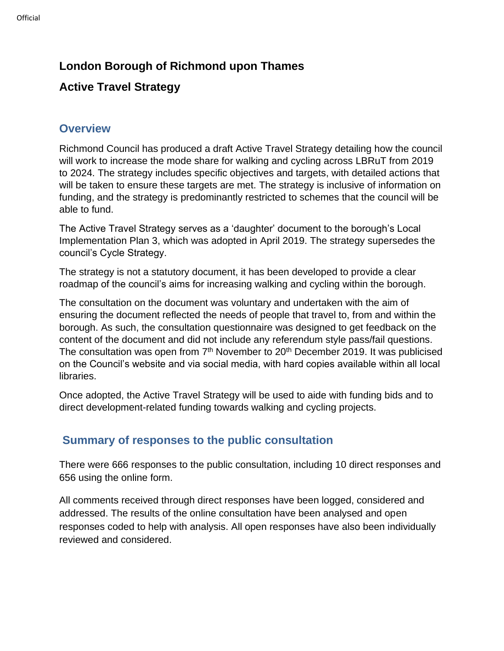## **London Borough of Richmond upon Thames**

# **Active Travel Strategy**

### **Overview**

Richmond Council has produced a draft Active Travel Strategy detailing how the council will work to increase the mode share for walking and cycling across LBRuT from 2019 to 2024. The strategy includes specific objectives and targets, with detailed actions that will be taken to ensure these targets are met. The strategy is inclusive of information on funding, and the strategy is predominantly restricted to schemes that the council will be able to fund.

The Active Travel Strategy serves as a 'daughter' document to the borough's Local Implementation Plan 3, which was adopted in April 2019. The strategy supersedes the council's Cycle Strategy.

The strategy is not a statutory document, it has been developed to provide a clear roadmap of the council's aims for increasing walking and cycling within the borough.

The consultation on the document was voluntary and undertaken with the aim of ensuring the document reflected the needs of people that travel to, from and within the borough. As such, the consultation questionnaire was designed to get feedback on the content of the document and did not include any referendum style pass/fail questions. The consultation was open from 7<sup>th</sup> November to 20<sup>th</sup> December 2019. It was publicised on the Council's website and via social media, with hard copies available within all local libraries.

Once adopted, the Active Travel Strategy will be used to aide with funding bids and to direct development-related funding towards walking and cycling projects.

### **Summary of responses to the public consultation**

There were 666 responses to the public consultation, including 10 direct responses and 656 using the online form.

All comments received through direct responses have been logged, considered and addressed. The results of the online consultation have been analysed and open responses coded to help with analysis. All open responses have also been individually reviewed and considered.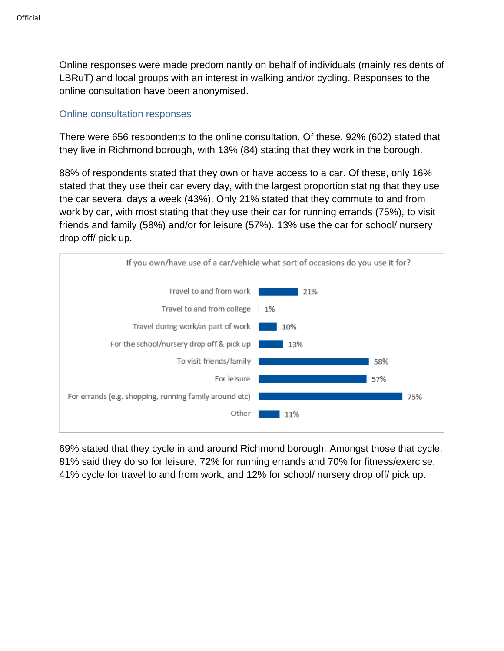Online responses were made predominantly on behalf of individuals (mainly residents of LBRuT) and local groups with an interest in walking and/or cycling. Responses to the online consultation have been anonymised.

### Online consultation responses

There were 656 respondents to the online consultation. Of these, 92% (602) stated that they live in Richmond borough, with 13% (84) stating that they work in the borough.

88% of respondents stated that they own or have access to a car. Of these, only 16% stated that they use their car every day, with the largest proportion stating that they use the car several days a week (43%). Only 21% stated that they commute to and from work by car, with most stating that they use their car for running errands (75%), to visit friends and family (58%) and/or for leisure (57%). 13% use the car for school/ nursery drop off/ pick up.



69% stated that they cycle in and around Richmond borough. Amongst those that cycle, 81% said they do so for leisure, 72% for running errands and 70% for fitness/exercise. 41% cycle for travel to and from work, and 12% for school/ nursery drop off/ pick up.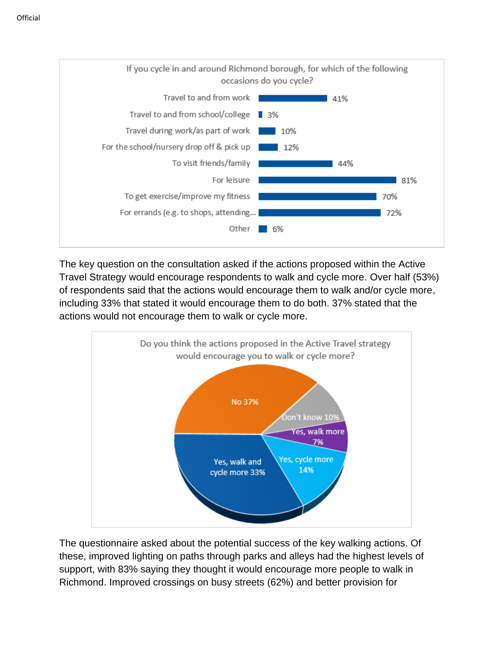

The key question on the consultation asked if the actions proposed within the Active Travel Strategy would encourage respondents to walk and cycle more. Over half (53%) of respondents said that the actions would encourage them to walk and/or cycle more, including 33% that stated it would encourage them to do both. 37% stated that the actions would not encourage them to walk or cycle more.



The questionnaire asked about the potential success of the key walking actions. Of these, improved lighting on paths through parks and alleys had the highest levels of support, with 83% saying they thought it would encourage more people to walk in Richmond. Improved crossings on busy streets (62%) and better provision for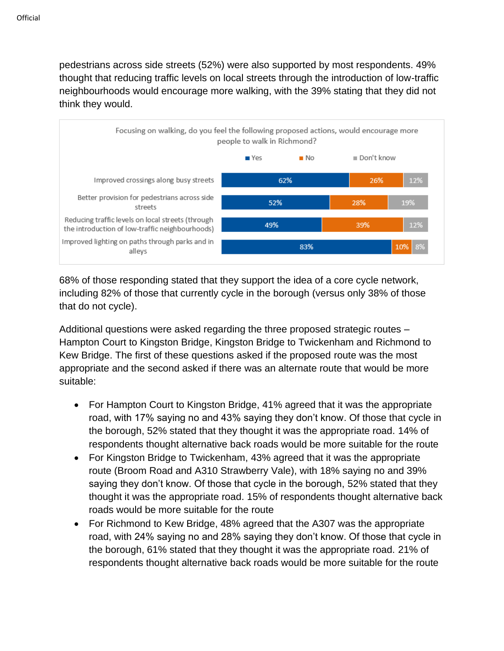pedestrians across side streets (52%) were also supported by most respondents. 49% thought that reducing traffic levels on local streets through the introduction of low-traffic neighbourhoods would encourage more walking, with the 39% stating that they did not think they would.



68% of those responding stated that they support the idea of a core cycle network, including 82% of those that currently cycle in the borough (versus only 38% of those that do not cycle).

Additional questions were asked regarding the three proposed strategic routes – Hampton Court to Kingston Bridge, Kingston Bridge to Twickenham and Richmond to Kew Bridge. The first of these questions asked if the proposed route was the most appropriate and the second asked if there was an alternate route that would be more suitable:

- For Hampton Court to Kingston Bridge, 41% agreed that it was the appropriate road, with 17% saying no and 43% saying they don't know. Of those that cycle in the borough, 52% stated that they thought it was the appropriate road. 14% of respondents thought alternative back roads would be more suitable for the route
- For Kingston Bridge to Twickenham, 43% agreed that it was the appropriate route (Broom Road and A310 Strawberry Vale), with 18% saying no and 39% saying they don't know. Of those that cycle in the borough, 52% stated that they thought it was the appropriate road. 15% of respondents thought alternative back roads would be more suitable for the route
- For Richmond to Kew Bridge, 48% agreed that the A307 was the appropriate road, with 24% saying no and 28% saying they don't know. Of those that cycle in the borough, 61% stated that they thought it was the appropriate road. 21% of respondents thought alternative back roads would be more suitable for the route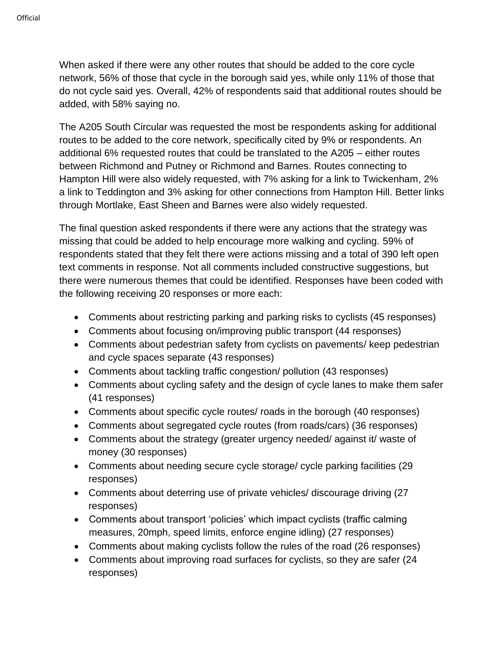When asked if there were any other routes that should be added to the core cycle network, 56% of those that cycle in the borough said yes, while only 11% of those that do not cycle said yes. Overall, 42% of respondents said that additional routes should be added, with 58% saying no.

The A205 South Circular was requested the most be respondents asking for additional routes to be added to the core network, specifically cited by 9% or respondents. An additional 6% requested routes that could be translated to the A205 – either routes between Richmond and Putney or Richmond and Barnes. Routes connecting to Hampton Hill were also widely requested, with 7% asking for a link to Twickenham, 2% a link to Teddington and 3% asking for other connections from Hampton Hill. Better links through Mortlake, East Sheen and Barnes were also widely requested.

The final question asked respondents if there were any actions that the strategy was missing that could be added to help encourage more walking and cycling. 59% of respondents stated that they felt there were actions missing and a total of 390 left open text comments in response. Not all comments included constructive suggestions, but there were numerous themes that could be identified. Responses have been coded with the following receiving 20 responses or more each:

- Comments about restricting parking and parking risks to cyclists (45 responses)
- Comments about focusing on/improving public transport (44 responses)
- Comments about pedestrian safety from cyclists on pavements/ keep pedestrian and cycle spaces separate (43 responses)
- Comments about tackling traffic congestion/ pollution (43 responses)
- Comments about cycling safety and the design of cycle lanes to make them safer (41 responses)
- Comments about specific cycle routes/ roads in the borough (40 responses)
- Comments about segregated cycle routes (from roads/cars) (36 responses)
- Comments about the strategy (greater urgency needed/ against it/ waste of money (30 responses)
- Comments about needing secure cycle storage/ cycle parking facilities (29 responses)
- Comments about deterring use of private vehicles/ discourage driving (27 responses)
- Comments about transport 'policies' which impact cyclists (traffic calming measures, 20mph, speed limits, enforce engine idling) (27 responses)
- Comments about making cyclists follow the rules of the road (26 responses)
- Comments about improving road surfaces for cyclists, so they are safer (24 responses)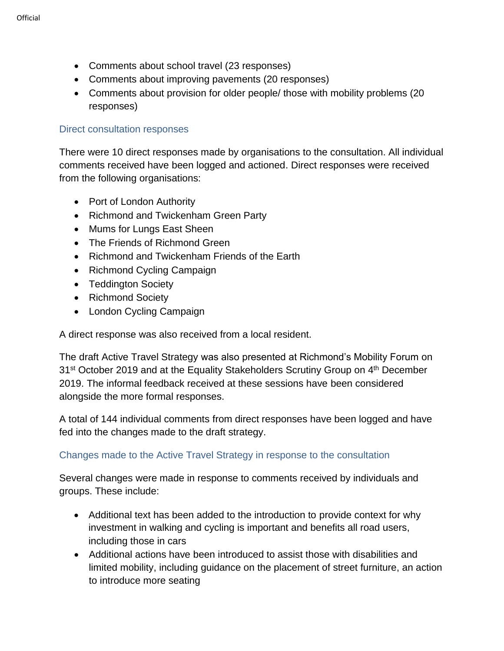- Comments about school travel (23 responses)
- Comments about improving pavements (20 responses)
- Comments about provision for older people/ those with mobility problems (20 responses)

#### Direct consultation responses

There were 10 direct responses made by organisations to the consultation. All individual comments received have been logged and actioned. Direct responses were received from the following organisations:

- Port of London Authority
- Richmond and Twickenham Green Party
- Mums for Lungs East Sheen
- The Friends of Richmond Green
- Richmond and Twickenham Friends of the Earth
- Richmond Cycling Campaign
- Teddington Society
- Richmond Society
- London Cycling Campaign

A direct response was also received from a local resident.

The draft Active Travel Strategy was also presented at Richmond's Mobility Forum on 31<sup>st</sup> October 2019 and at the Equality Stakeholders Scrutiny Group on 4<sup>th</sup> December 2019. The informal feedback received at these sessions have been considered alongside the more formal responses.

A total of 144 individual comments from direct responses have been logged and have fed into the changes made to the draft strategy.

### Changes made to the Active Travel Strategy in response to the consultation

Several changes were made in response to comments received by individuals and groups. These include:

- Additional text has been added to the introduction to provide context for why investment in walking and cycling is important and benefits all road users, including those in cars
- Additional actions have been introduced to assist those with disabilities and limited mobility, including guidance on the placement of street furniture, an action to introduce more seating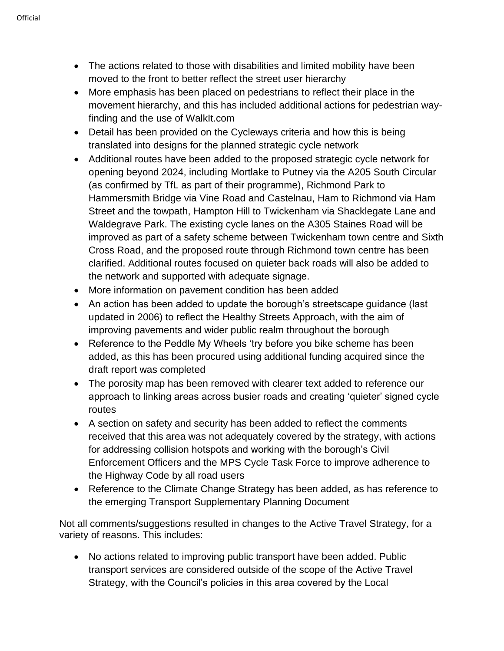- The actions related to those with disabilities and limited mobility have been moved to the front to better reflect the street user hierarchy
- More emphasis has been placed on pedestrians to reflect their place in the movement hierarchy, and this has included additional actions for pedestrian wayfinding and the use of WalkIt.com
- Detail has been provided on the Cycleways criteria and how this is being translated into designs for the planned strategic cycle network
- Additional routes have been added to the proposed strategic cycle network for opening beyond 2024, including Mortlake to Putney via the A205 South Circular (as confirmed by TfL as part of their programme), Richmond Park to Hammersmith Bridge via Vine Road and Castelnau, Ham to Richmond via Ham Street and the towpath, Hampton Hill to Twickenham via Shacklegate Lane and Waldegrave Park. The existing cycle lanes on the A305 Staines Road will be improved as part of a safety scheme between Twickenham town centre and Sixth Cross Road, and the proposed route through Richmond town centre has been clarified. Additional routes focused on quieter back roads will also be added to the network and supported with adequate signage.
- More information on pavement condition has been added
- An action has been added to update the borough's streetscape quidance (last updated in 2006) to reflect the Healthy Streets Approach, with the aim of improving pavements and wider public realm throughout the borough
- Reference to the Peddle My Wheels 'try before you bike scheme has been added, as this has been procured using additional funding acquired since the draft report was completed
- The porosity map has been removed with clearer text added to reference our approach to linking areas across busier roads and creating 'quieter' signed cycle routes
- A section on safety and security has been added to reflect the comments received that this area was not adequately covered by the strategy, with actions for addressing collision hotspots and working with the borough's Civil Enforcement Officers and the MPS Cycle Task Force to improve adherence to the Highway Code by all road users
- Reference to the Climate Change Strategy has been added, as has reference to the emerging Transport Supplementary Planning Document

Not all comments/suggestions resulted in changes to the Active Travel Strategy, for a variety of reasons. This includes:

• No actions related to improving public transport have been added. Public transport services are considered outside of the scope of the Active Travel Strategy, with the Council's policies in this area covered by the Local